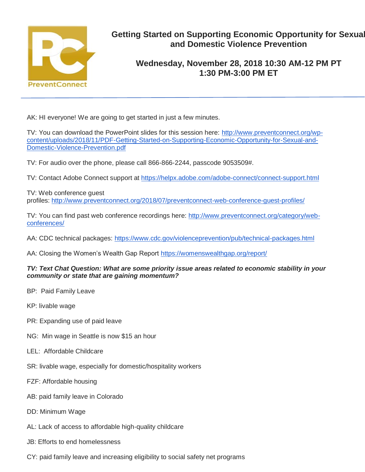

# **Getting Started on Supporting Economic Opportunity for Sexual and Domestic Violence Prevention**

# **Wednesday, November 28, 2018 10:30 AM-12 PM PT 1:30 PM-3:00 PM ET**

AK: HI everyone! We are going to get started in just a few minutes.

TV: You can download the PowerPoint slides for this session here: [http://www.preventconnect.org/wp](http://www.preventconnect.org/wp-content/uploads/2018/11/PDF-Getting-Started-on-Supporting-Economic-Opportunity-for-Sexual-and-Domestic-Violence-Prevention.pdf)[content/uploads/2018/11/PDF-Getting-Started-on-Supporting-Economic-Opportunity-for-Sexual-and-](http://www.preventconnect.org/wp-content/uploads/2018/11/PDF-Getting-Started-on-Supporting-Economic-Opportunity-for-Sexual-and-Domestic-Violence-Prevention.pdf)[Domestic-Violence-Prevention.pdf](http://www.preventconnect.org/wp-content/uploads/2018/11/PDF-Getting-Started-on-Supporting-Economic-Opportunity-for-Sexual-and-Domestic-Violence-Prevention.pdf)

TV: For audio over the phone, please call 866-866-2244, passcode 9053509#.

TV: Contact Adobe Connect support at <https://helpx.adobe.com/adobe-connect/connect-support.html>

TV: Web conference guest profiles: <http://www.preventconnect.org/2018/07/preventconnect-web-conference-guest-profiles/>

TV: You can find past web conference recordings here: [http://www.preventconnect.org/category/web](http://www.preventconnect.org/category/web-conferences/)[conferences/](http://www.preventconnect.org/category/web-conferences/)

AA: CDC technical packages: <https://www.cdc.gov/violenceprevention/pub/technical-packages.html>

AA: Closing the Women's Wealth Gap Report <https://womenswealthgap.org/report/>

#### *TV: Text Chat Question: What are some priority issue areas related to economic stability in your community or state that are gaining momentum?*

- BP: Paid Family Leave
- KP: livable wage
- PR: Expanding use of paid leave
- NG: Min wage in Seattle is now \$15 an hour
- LEL: Affordable Childcare
- SR: livable wage, especially for domestic/hospitality workers
- FZF: Affordable housing
- AB: paid family leave in Colorado
- DD: Minimum Wage
- AL: Lack of access to affordable high-quality childcare
- JB: Efforts to end homelessness
- CY: paid family leave and increasing eligibility to social safety net programs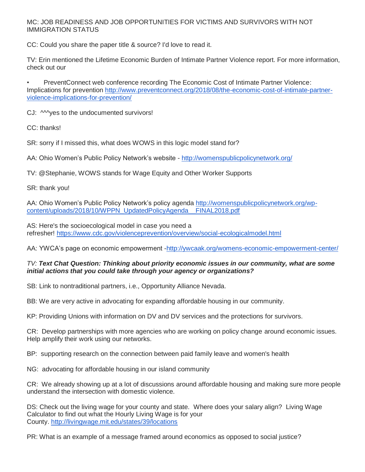# MC: JOB READINESS AND JOB OPPORTUNITIES FOR VICTIMS AND SURVIVORS WITH NOT IMMIGRATION STATUS

CC: Could you share the paper title & source? I'd love to read it.

TV: Erin mentioned the Lifetime Economic Burden of Intimate Partner Violence report. For more information, check out our

• PreventConnect web conference recording The Economic Cost of Intimate Partner Violence: Implications for prevention [http://www.preventconnect.org/2018/08/the-economic-cost-of-intimate-partner](http://www.preventconnect.org/2018/08/the-economic-cost-of-intimate-partner-violence-implications-for-prevention/)[violence-implications-for-prevention/](http://www.preventconnect.org/2018/08/the-economic-cost-of-intimate-partner-violence-implications-for-prevention/)

CJ:  $M<sub>Y</sub>$  CJ:  $M<sub>Y</sub>$  as to the undocumented survivors!

CC: thanks!

SR: sorry if I missed this, what does WOWS in this logic model stand for?

AA: Ohio Women's Public Policy Network's website - <http://womenspublicpolicynetwork.org/>

TV: @Stephanie, WOWS stands for Wage Equity and Other Worker Supports

SR: thank you!

AA: Ohio Women's Public Policy Network's policy agenda [http://womenspublicpolicynetwork.org/wp](http://womenspublicpolicynetwork.org/wp-content/uploads/2018/10/WPPN_UpdatedPolicyAgenda__FINAL2018.pdf)[content/uploads/2018/10/WPPN\\_UpdatedPolicyAgenda\\_\\_FINAL2018.pdf](http://womenspublicpolicynetwork.org/wp-content/uploads/2018/10/WPPN_UpdatedPolicyAgenda__FINAL2018.pdf)

AS: Here's the socioecological model in case you need a refresher! <https://www.cdc.gov/violenceprevention/overview/social-ecologicalmodel.html>

AA: YWCA's page on economic empowerment [-http://ywcaak.org/womens-economic-empowerment-center/](http://ywcaak.org/womens-economic-empowerment-center/)

#### *TV: Text Chat Question: Thinking about priority economic issues in our community, what are some initial actions that you could take through your agency or organizations?*

SB: Link to nontraditional partners, i.e., Opportunity Alliance Nevada.

BB: We are very active in advocating for expanding affordable housing in our community.

KP: Providing Unions with information on DV and DV services and the protections for survivors.

CR: Develop partnerships with more agencies who are working on policy change around economic issues. Help amplify their work using our networks.

BP: supporting research on the connection between paid family leave and women's health

NG: advocating for affordable housing in our island community

CR: We already showing up at a lot of discussions around affordable housing and making sure more people understand the intersection with domestic violence.

DS: Check out the living wage for your county and state. Where does your salary align? Living Wage Calculator to find out what the Hourly Living Wage is for your County. <http://livingwage.mit.edu/states/39/locations>

PR: What is an example of a message framed around economics as opposed to social justice?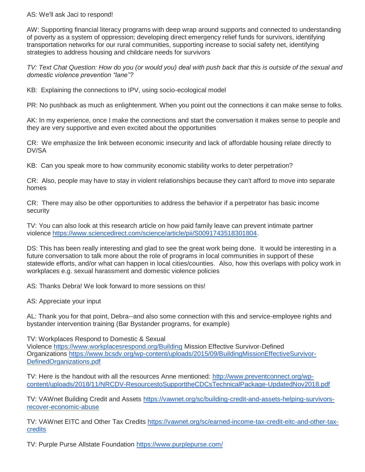### AS: We'll ask Jaci to respond!

AW: Supporting financial literacy programs with deep wrap around supports and connected to understanding of poverty as a system of oppression; developing direct emergency relief funds for survivors, identifying transportation networks for our rural communities, supporting increase to social safety net, identifying strategies to address housing and childcare needs for survivors

*TV: Text Chat Question: How do you (or would you) deal with push back that this is outside of the sexual and domestic violence prevention "lane"?*

KB: Explaining the connections to IPV, using socio-ecological model

PR: No pushback as much as enlightenment. When you point out the connections it can make sense to folks.

AK: In my experience, once I make the connections and start the conversation it makes sense to people and they are very supportive and even excited about the opportunities

CR: We emphasize the link between economic insecurity and lack of affordable housing relate directly to DV/SA

KB: Can you speak more to how community economic stability works to deter perpetration?

CR: Also, people may have to stay in violent relationships because they can't afford to move into separate homes

CR: There may also be other opportunities to address the behavior if a perpetrator has basic income security

TV: You can also look at this research article on how paid family leave can prevent intimate partner violence [https://www.sciencedirect.com/science/article/pii/S0091743518301804.](https://www.sciencedirect.com/science/article/pii/S0091743518301804)

DS: This has been really interesting and glad to see the great work being done. It would be interesting in a future conversation to talk more about the role of programs in local communities in support of these statewide efforts, and/or what can happen in local cities/counties. Also, how this overlaps with policy work in workplaces e.g. sexual harassment and domestic violence policies

AS: Thanks Debra! We look forward to more sessions on this!

AS: Appreciate your input

AL: Thank you for that point, Debra--and also some connection with this and service-employee rights and bystander intervention training (Bar Bystander programs, for example)

TV: Workplaces Respond to Domestic & Sexual

Violence <https://www.workplacesrespond.org/Building> Mission Effective Survivor-Defined Organizations [https://www.bcsdv.org/wp-content/uploads/2015/09/BuildingMissionEffectiveSurvivor-](https://www.bcsdv.org/wp-content/uploads/2015/09/BuildingMissionEffectiveSurvivor-DefinedOrganizations.pdf)[DefinedOrganizations.pdf](https://www.bcsdv.org/wp-content/uploads/2015/09/BuildingMissionEffectiveSurvivor-DefinedOrganizations.pdf)

TV: Here is the handout with all the resources Anne mentioned: [http://www.preventconnect.org/wp](http://www.preventconnect.org/wp-content/uploads/2018/11/NRCDV-ResourcestoSupporttheCDCsTechnicalPackage-UpdatedNov2018.pdf)[content/uploads/2018/11/NRCDV-ResourcestoSupporttheCDCsTechnicalPackage-UpdatedNov2018.pdf](http://www.preventconnect.org/wp-content/uploads/2018/11/NRCDV-ResourcestoSupporttheCDCsTechnicalPackage-UpdatedNov2018.pdf)

TV: VAWnet Building Credit and Assets [https://vawnet.org/sc/building-credit-and-assets-helping-survivors](https://vawnet.org/sc/building-credit-and-assets-helping-survivors-recover-economic-abuse)[recover-economic-abuse](https://vawnet.org/sc/building-credit-and-assets-helping-survivors-recover-economic-abuse)

TV: VAWnet EITC and Other Tax Credits [https://vawnet.org/sc/earned-income-tax-credit-eitc-and-other-tax](https://vawnet.org/sc/earned-income-tax-credit-eitc-and-other-tax-credits)[credits](https://vawnet.org/sc/earned-income-tax-credit-eitc-and-other-tax-credits)

TV: Purple Purse Allstate Foundation <https://www.purplepurse.com/>